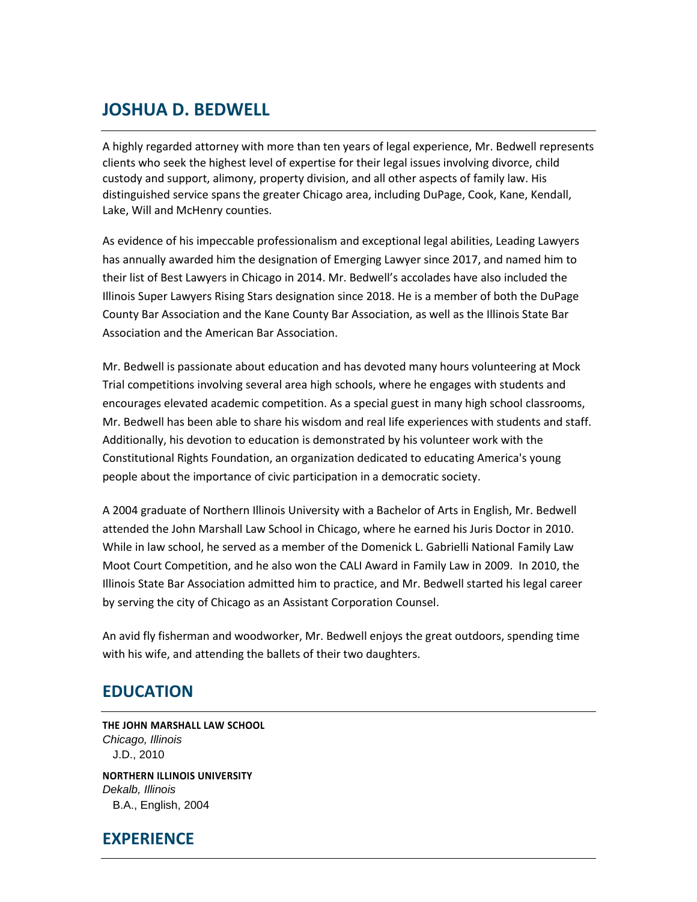# **JOSHUA D. BEDWELL**

A highly regarded attorney with more than ten years of legal experience, Mr. Bedwell represents clients who seek the highest level of expertise for their legal issues involving divorce, child custody and support, alimony, property division, and all other aspects of family law. His distinguished service spans the greater Chicago area, including DuPage, Cook, Kane, Kendall, Lake, Will and McHenry counties.

As evidence of his impeccable professionalism and exceptional legal abilities, Leading Lawyers has annually awarded him the designation of Emerging Lawyer since 2017, and named him to their list of Best Lawyers in Chicago in 2014. Mr. Bedwell's accolades have also included the Illinois Super Lawyers Rising Stars designation since 2018. He is a member of both the DuPage County Bar Association and the Kane County Bar Association, as well as the Illinois State Bar Association and the American Bar Association.

Mr. Bedwell is passionate about education and has devoted many hours volunteering at Mock Trial competitions involving several area high schools, where he engages with students and encourages elevated academic competition. As a special guest in many high school classrooms, Mr. Bedwell has been able to share his wisdom and real life experiences with students and staff. Additionally, his devotion to education is demonstrated by his volunteer work with the Constitutional Rights Foundation, an organization dedicated to educating America's young people about the importance of civic participation in a democratic society.

A 2004 graduate of Northern Illinois University with a Bachelor of Arts in English, Mr. Bedwell attended the John Marshall Law School in Chicago, where he earned his Juris Doctor in 2010. While in law school, he served as a member of the Domenick L. Gabrielli National Family Law Moot Court Competition, and he also won the CALI Award in Family Law in 2009. In 2010, the Illinois State Bar Association admitted him to practice, and Mr. Bedwell started his legal career by serving the city of Chicago as an Assistant Corporation Counsel.

An avid fly fisherman and woodworker, Mr. Bedwell enjoys the great outdoors, spending time with his wife, and attending the ballets of their two daughters.

#### **EDUCATION**

**THE JOHN MARSHALL LAW SCHOOL** *Chicago, Illinois* J.D., 2010

**NORTHERN ILLINOIS UNIVERSITY** *Dekalb, Illinois* B.A., English, 2004

## **EXPERIENCE**